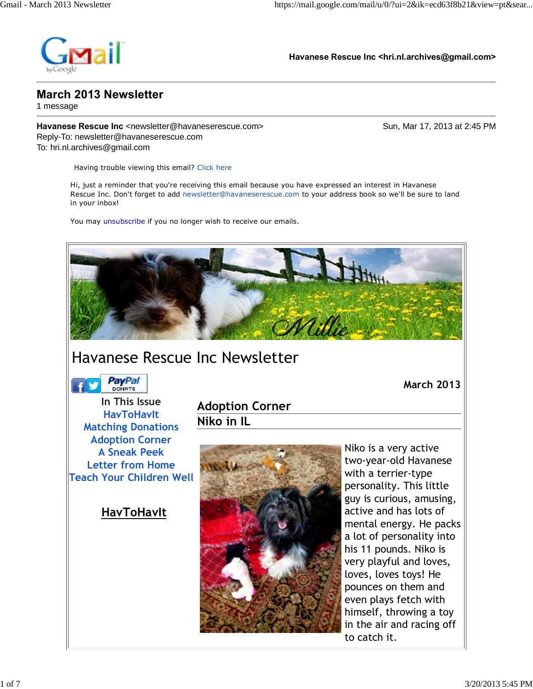

**Havanese Rescue Inc <hri.nl.archives@gmail.com>**

## **March 2013 Newsletter**

1 message

**Havanese Rescue Inc** <newsletter@havaneserescue.com> Sun, Mar 17, 2013 at 2:45 PM Reply-To: newsletter@havaneserescue.com To: hri.nl.archives@gmail.com

Having trouble viewing this email? Click here

Hi, just a reminder that you're receiving this email because you have expressed an interest in Havanese Rescue Inc. Don't forget to add newsletter@havaneserescue.com to your address book so we'll be sure to land in your inbox!

You may unsubscribe if you no longer wish to receive our emails.



## Havanese Rescue Inc Newsletter

**PayPal** 

 **March 2013**

**In This Issue HavToHavIt Matching Donations Adoption Corner A Sneak Peek Letter from Home Teach Your Children Well**

 **HavToHavIt**

**Adoption Corner Niko in IL**



Niko is a very active two-year-old Havanese with a terrier-type personality. This little guy is curious, amusing, active and has lots of mental energy. He packs a lot of personality into his 11 pounds. Niko is very playful and loves, loves, loves toys! He pounces on them and even plays fetch with himself, throwing a toy in the air and racing off to catch it.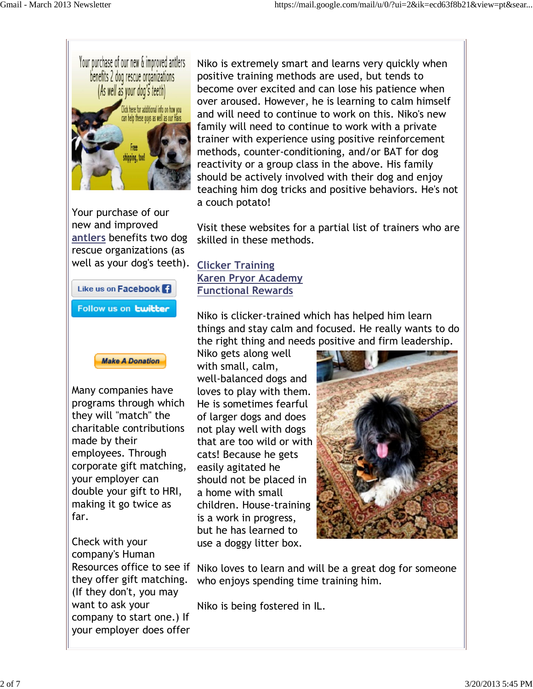

Your purchase of our new and improved **antlers** benefits two dog rescue organizations (as well as your dog's teeth).





Many companies have programs through which they will "match" the charitable contributions made by their employees. Through corporate gift matching, your employer can double your gift to HRI, making it go twice as far.

Check with your company's Human they offer gift matching. (If they don't, you may want to ask your company to start one.) If your employer does offer Niko is extremely smart and learns very quickly when positive training methods are used, but tends to become over excited and can lose his patience when over aroused. However, he is learning to calm himself and will need to continue to work on this. Niko's new family will need to continue to work with a private trainer with experience using positive reinforcement methods, counter-conditioning, and/or BAT for dog reactivity or a group class in the above. His family should be actively involved with their dog and enjoy teaching him dog tricks and positive behaviors. He's not a couch potato!

Visit these websites for a partial list of trainers who are skilled in these methods.

**Clicker Training Karen Pryor Academy Functional Rewards**

Niko is clicker-trained which has helped him learn things and stay calm and focused. He really wants to do the right thing and needs positive and firm leadership.

Niko gets along well with small, calm, well-balanced dogs and loves to play with them. He is sometimes fearful of larger dogs and does not play well with dogs that are too wild or with cats! Because he gets easily agitated he should not be placed in a home with small children. House-training is a work in progress, but he has learned to use a doggy litter box.



Resources office to see if Niko loves to learn and will be a great dog for someone who enjoys spending time training him.

Niko is being fostered in IL.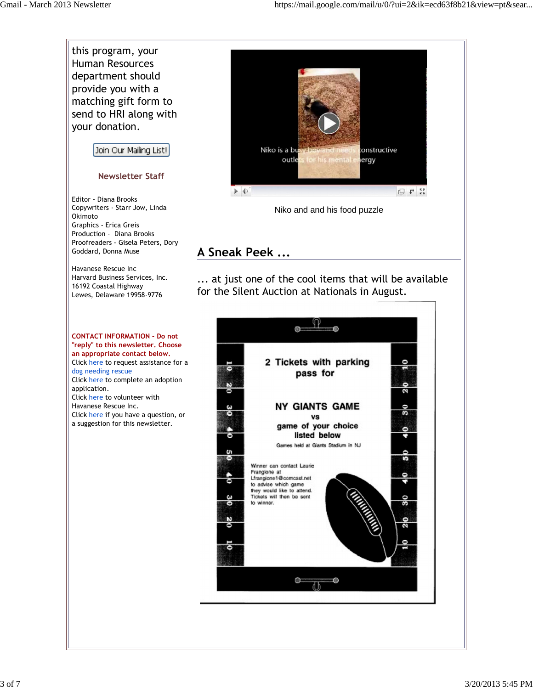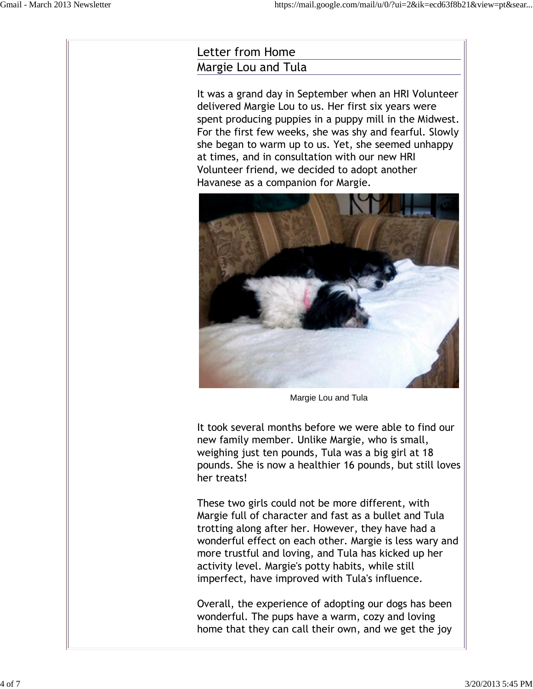## Letter from Home Margie Lou and Tula

It was a grand day in September when an HRI Volunteer delivered Margie Lou to us. Her first six years were spent producing puppies in a puppy mill in the Midwest. For the first few weeks, she was shy and fearful. Slowly she began to warm up to us. Yet, she seemed unhappy at times, and in consultation with our new HRI Volunteer friend, we decided to adopt another Havanese as a companion for Margie.



Margie Lou and Tula

It took several months before we were able to find our new family member. Unlike Margie, who is small, weighing just ten pounds, Tula was a big girl at 18 pounds. She is now a healthier 16 pounds, but still loves her treats!

These two girls could not be more different, with Margie full of character and fast as a bullet and Tula trotting along after her. However, they have had a wonderful effect on each other. Margie is less wary and more trustful and loving, and Tula has kicked up her activity level. Margie's potty habits, while still imperfect, have improved with Tula's influence.

Overall, the experience of adopting our dogs has been wonderful. The pups have a warm, cozy and loving home that they can call their own, and we get the joy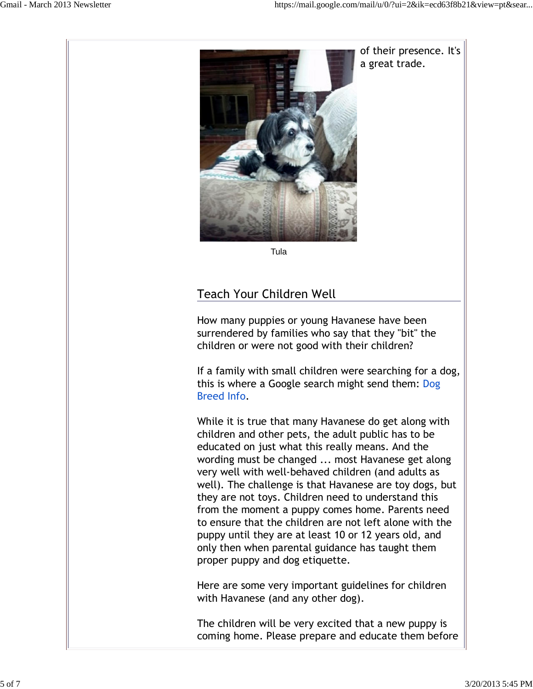

Tula

## Teach Your Children Well

How many puppies or young Havanese have been surrendered by families who say that they "bit" the children or were not good with their children?

If a family with small children were searching for a dog, this is where a Google search might send them: Dog Breed Info.

While it is true that many Havanese do get along with children and other pets, the adult public has to be educated on just what this really means. And the wording must be changed ... most Havanese get along very well with well-behaved children (and adults as well). The challenge is that Havanese are toy dogs, but they are not toys. Children need to understand this from the moment a puppy comes home. Parents need to ensure that the children are not left alone with the puppy until they are at least 10 or 12 years old, and only then when parental guidance has taught them proper puppy and dog etiquette.

Here are some very important guidelines for children with Havanese (and any other dog).

The children will be very excited that a new puppy is coming home. Please prepare and educate them before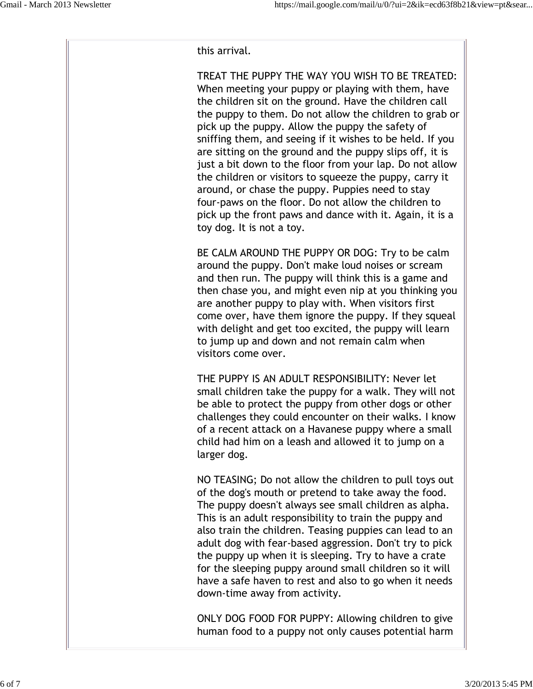this arrival.

TREAT THE PUPPY THE WAY YOU WISH TO BE TREATED: When meeting your puppy or playing with them, have the children sit on the ground. Have the children call the puppy to them. Do not allow the children to grab or pick up the puppy. Allow the puppy the safety of sniffing them, and seeing if it wishes to be held. If you are sitting on the ground and the puppy slips off, it is just a bit down to the floor from your lap. Do not allow the children or visitors to squeeze the puppy, carry it around, or chase the puppy. Puppies need to stay four-paws on the floor. Do not allow the children to pick up the front paws and dance with it. Again, it is a toy dog. It is not a toy.

BE CALM AROUND THE PUPPY OR DOG: Try to be calm around the puppy. Don't make loud noises or scream and then run. The puppy will think this is a game and then chase you, and might even nip at you thinking you are another puppy to play with. When visitors first come over, have them ignore the puppy. If they squeal with delight and get too excited, the puppy will learn to jump up and down and not remain calm when visitors come over.

THE PUPPY IS AN ADULT RESPONSIBILITY: Never let small children take the puppy for a walk. They will not be able to protect the puppy from other dogs or other challenges they could encounter on their walks. I know of a recent attack on a Havanese puppy where a small child had him on a leash and allowed it to jump on a larger dog.

NO TEASING; Do not allow the children to pull toys out of the dog's mouth or pretend to take away the food. The puppy doesn't always see small children as alpha. This is an adult responsibility to train the puppy and also train the children. Teasing puppies can lead to an adult dog with fear-based aggression. Don't try to pick the puppy up when it is sleeping. Try to have a crate for the sleeping puppy around small children so it will have a safe haven to rest and also to go when it needs down-time away from activity.

ONLY DOG FOOD FOR PUPPY: Allowing children to give human food to a puppy not only causes potential harm